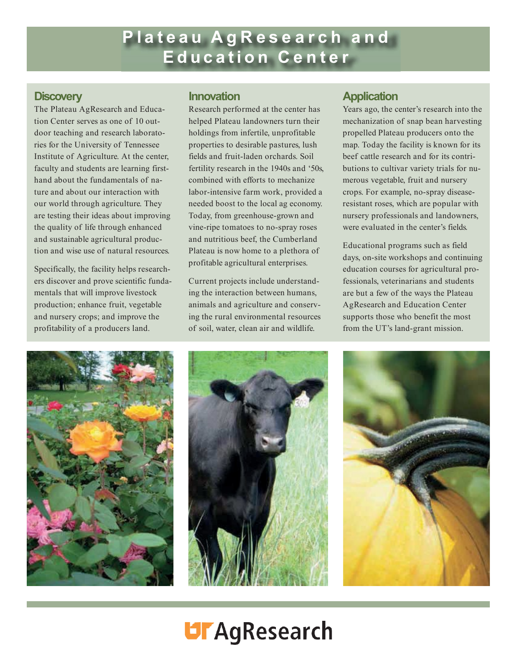# **Plateau AgResearch and Education Center**

#### **Discovery**

The Plateau AgResearch and Education Center serves as one of 10 outdoor teaching and research laboratories for the University of Tennessee Institute of Agriculture. At the center, faculty and students are learning firsthand about the fundamentals of nature and about our interaction with our world through agriculture. They are testing their ideas about improving the quality of life through enhanced and sustainable agricultural production and wise use of natural resources.

Specifically, the facility helps researchers discover and prove scientific fundamentals that will improve livestock production; enhance fruit, vegetable and nursery crops; and improve the profitability of a producers land.

### **Innovation**

Research performed at the center has helped Plateau landowners turn their holdings from infertile, unprofitable properties to desirable pastures, lush fields and fruit-laden orchards. Soil fertility research in the 1940s and '50s, combined with efforts to mechanize labor-intensive farm work, provided a needed boost to the local ag economy. Today, from greenhouse-grown and vine-ripe tomatoes to no-spray roses and nutritious beef, the Cumberland Plateau is now home to a plethora of profitable agricultural enterprises.

Current projects include understanding the interaction between humans, animals and agriculture and conserving the rural environmental resources of soil, water, clean air and wildlife.

### **Application**

Years ago, the center's research into the mechanization of snap bean harvesting propelled Plateau producers onto the map. Today the facility is known for its beef cattle research and for its contributions to cultivar variety trials for numerous vegetable, fruit and nursery crops. For example, no-spray diseaseresistant roses, which are popular with nursery professionals and landowners, were evaluated in the center's fields.

Educational programs such as field days, on-site workshops and continuing education courses for agricultural professionals, veterinarians and students are but a few of the ways the Plateau AgResearch and Education Center supports those who benefit the most from the UT's land-grant mission.







# **UFAgResearch**